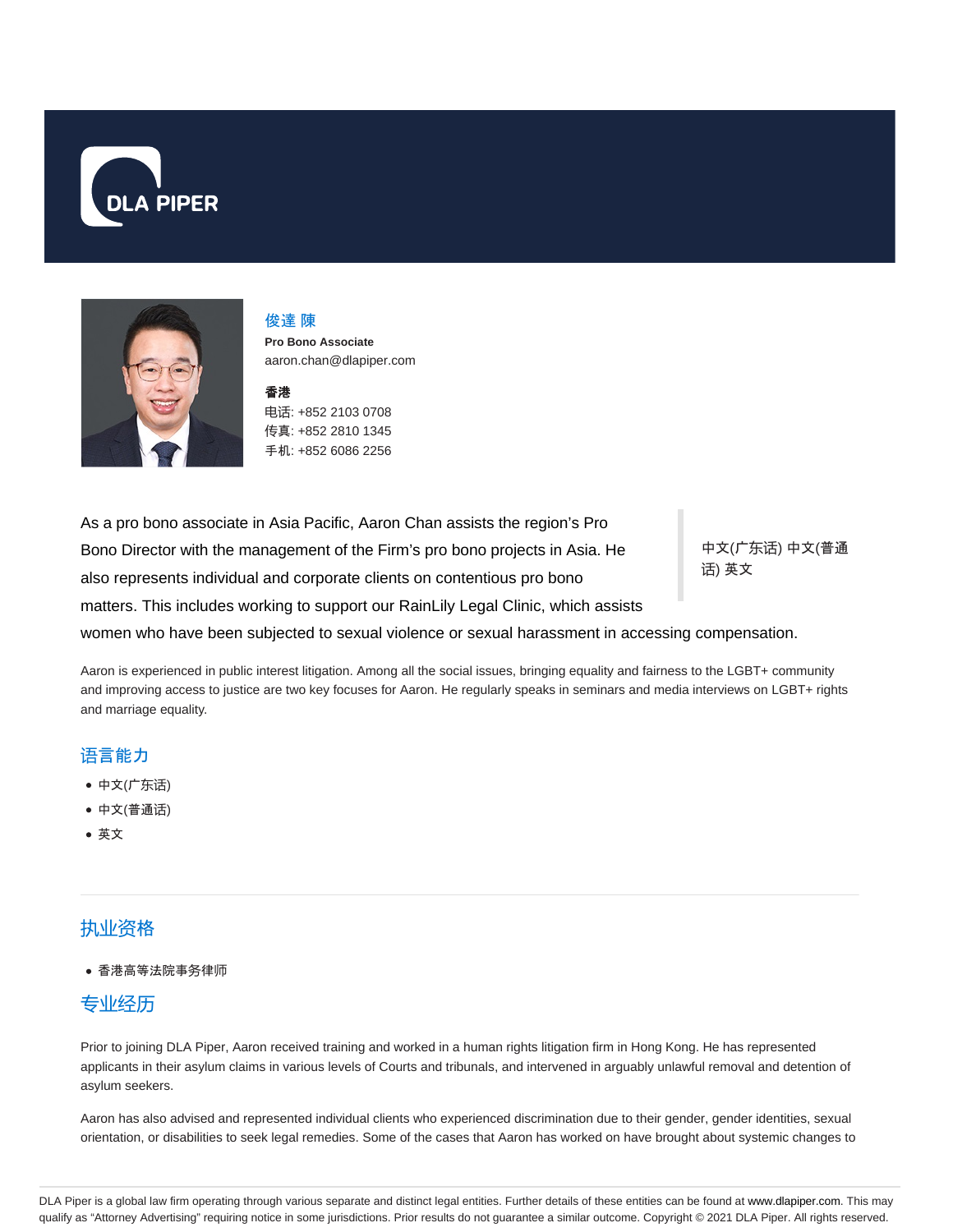



#### 俊達 陳

**Pro Bono Associate** aaron.chan@dlapiper.com

#### 香港

电话: +852 2103 0708 传真: +852 2810 1345 手机: +852 6086 2256

As a pro bono associate in Asia Pacific, Aaron Chan assists the region's Pro Bono Director with the management of the Firm's pro bono projects in Asia. He also represents individual and corporate clients on contentious pro bono matters. This includes working to support our RainLily Legal Clinic, which assists

中文(广东话) 中文(普通 话) 英文

women who have been subjected to sexual violence or sexual harassment in accessing compensation.

Aaron is experienced in public interest litigation. Among all the social issues, bringing equality and fairness to the LGBT+ community and improving access to justice are two key focuses for Aaron. He regularly speaks in seminars and media interviews on LGBT+ rights and marriage equality.

#### 语言能力

- 中文(广东话)
- 中文(普通话)
- 英文

## 执业资格

香港高等法院事务律师

## 专业经历

Prior to joining DLA Piper, Aaron received training and worked in a human rights litigation firm in Hong Kong. He has represented applicants in their asylum claims in various levels of Courts and tribunals, and intervened in arguably unlawful removal and detention of asylum seekers.

Aaron has also advised and represented individual clients who experienced discrimination due to their gender, gender identities, sexual orientation, or disabilities to seek legal remedies. Some of the cases that Aaron has worked on have brought about systemic changes to

DLA Piper is a global law firm operating through various separate and distinct legal entities. Further details of these entities can be found at www.dlapiper.com. This may qualify as "Attorney Advertising" requiring notice in some jurisdictions. Prior results do not guarantee a similar outcome. Copyright © 2021 DLA Piper. All rights reserved.